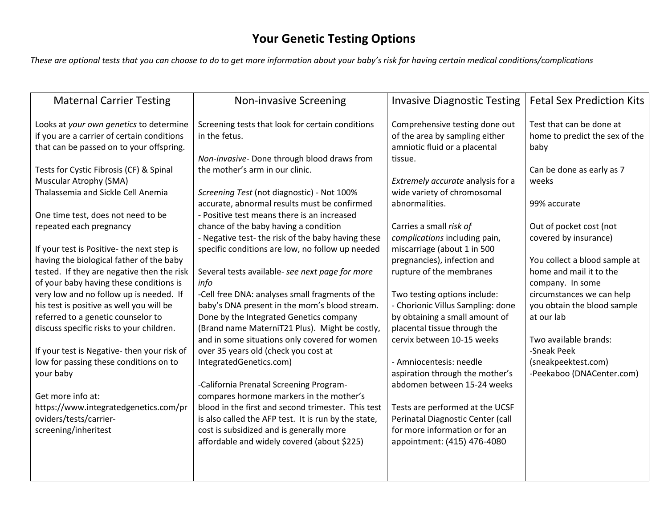## **Your Genetic Testing Options**

*These are optional tests that you can choose to do to get more information about your baby's risk for having certain medical conditions/complications*

| <b>Maternal Carrier Testing</b>                                                                                                                                                                                                                                                                                                                                                                                                                                                                                                                                                                                                                                                                                                                                                                     | <b>Non-invasive Screening</b>                                                                                                                                                                                                                                                                                                                                                                                                                                                                                                                                                                                                                                                                                                                                                                                                                                                                                              | <b>Invasive Diagnostic Testing</b>                                                                                                                                                                                                                                                                                                                                                                                                                                                                                                                                                                                         | <b>Fetal Sex Prediction Kits</b>                                                                                                                                                                                                                                                                                                                                                                                                   |
|-----------------------------------------------------------------------------------------------------------------------------------------------------------------------------------------------------------------------------------------------------------------------------------------------------------------------------------------------------------------------------------------------------------------------------------------------------------------------------------------------------------------------------------------------------------------------------------------------------------------------------------------------------------------------------------------------------------------------------------------------------------------------------------------------------|----------------------------------------------------------------------------------------------------------------------------------------------------------------------------------------------------------------------------------------------------------------------------------------------------------------------------------------------------------------------------------------------------------------------------------------------------------------------------------------------------------------------------------------------------------------------------------------------------------------------------------------------------------------------------------------------------------------------------------------------------------------------------------------------------------------------------------------------------------------------------------------------------------------------------|----------------------------------------------------------------------------------------------------------------------------------------------------------------------------------------------------------------------------------------------------------------------------------------------------------------------------------------------------------------------------------------------------------------------------------------------------------------------------------------------------------------------------------------------------------------------------------------------------------------------------|------------------------------------------------------------------------------------------------------------------------------------------------------------------------------------------------------------------------------------------------------------------------------------------------------------------------------------------------------------------------------------------------------------------------------------|
| Looks at your own genetics to determine<br>if you are a carrier of certain conditions<br>that can be passed on to your offspring.<br>Tests for Cystic Fibrosis (CF) & Spinal<br>Muscular Atrophy (SMA)<br>Thalassemia and Sickle Cell Anemia<br>One time test, does not need to be<br>repeated each pregnancy<br>If your test is Positive- the next step is<br>having the biological father of the baby<br>tested. If they are negative then the risk<br>of your baby having these conditions is<br>very low and no follow up is needed. If<br>his test is positive as well you will be<br>referred to a genetic counselor to<br>discuss specific risks to your children.<br>If your test is Negative-then your risk of<br>low for passing these conditions on to<br>your baby<br>Get more info at: | Screening tests that look for certain conditions<br>in the fetus.<br>Non-invasive- Done through blood draws from<br>the mother's arm in our clinic.<br>Screening Test (not diagnostic) - Not 100%<br>accurate, abnormal results must be confirmed<br>- Positive test means there is an increased<br>chance of the baby having a condition<br>- Negative test- the risk of the baby having these<br>specific conditions are low, no follow up needed<br>Several tests available- see next page for more<br>info<br>-Cell free DNA: analyses small fragments of the<br>baby's DNA present in the mom's blood stream.<br>Done by the Integrated Genetics company<br>(Brand name MaterniT21 Plus). Might be costly,<br>and in some situations only covered for women<br>over 35 years old (check you cost at<br>IntegratedGenetics.com)<br>-California Prenatal Screening Program-<br>compares hormone markers in the mother's | Comprehensive testing done out<br>of the area by sampling either<br>amniotic fluid or a placental<br>tissue.<br>Extremely accurate analysis for a<br>wide variety of chromosomal<br>abnormalities.<br>Carries a small risk of<br>complications including pain,<br>miscarriage (about 1 in 500<br>pregnancies), infection and<br>rupture of the membranes<br>Two testing options include:<br>- Chorionic Villus Sampling: done<br>by obtaining a small amount of<br>placental tissue through the<br>cervix between 10-15 weeks<br>- Amniocentesis: needle<br>aspiration through the mother's<br>abdomen between 15-24 weeks | Test that can be done at<br>home to predict the sex of the<br>baby<br>Can be done as early as 7<br>weeks<br>99% accurate<br>Out of pocket cost (not<br>covered by insurance)<br>You collect a blood sample at<br>home and mail it to the<br>company. In some<br>circumstances we can help<br>you obtain the blood sample<br>at our lab<br>Two available brands:<br>-Sneak Peek<br>(sneakpeektest.com)<br>-Peekaboo (DNACenter.com) |
| https://www.integratedgenetics.com/pr                                                                                                                                                                                                                                                                                                                                                                                                                                                                                                                                                                                                                                                                                                                                                               | blood in the first and second trimester. This test                                                                                                                                                                                                                                                                                                                                                                                                                                                                                                                                                                                                                                                                                                                                                                                                                                                                         | Tests are performed at the UCSF                                                                                                                                                                                                                                                                                                                                                                                                                                                                                                                                                                                            |                                                                                                                                                                                                                                                                                                                                                                                                                                    |
| oviders/tests/carrier-<br>screening/inheritest                                                                                                                                                                                                                                                                                                                                                                                                                                                                                                                                                                                                                                                                                                                                                      | is also called the AFP test. It is run by the state,<br>cost is subsidized and is generally more<br>affordable and widely covered (about \$225)                                                                                                                                                                                                                                                                                                                                                                                                                                                                                                                                                                                                                                                                                                                                                                            | Perinatal Diagnostic Center (call<br>for more information or for an<br>appointment: (415) 476-4080                                                                                                                                                                                                                                                                                                                                                                                                                                                                                                                         |                                                                                                                                                                                                                                                                                                                                                                                                                                    |
|                                                                                                                                                                                                                                                                                                                                                                                                                                                                                                                                                                                                                                                                                                                                                                                                     |                                                                                                                                                                                                                                                                                                                                                                                                                                                                                                                                                                                                                                                                                                                                                                                                                                                                                                                            |                                                                                                                                                                                                                                                                                                                                                                                                                                                                                                                                                                                                                            |                                                                                                                                                                                                                                                                                                                                                                                                                                    |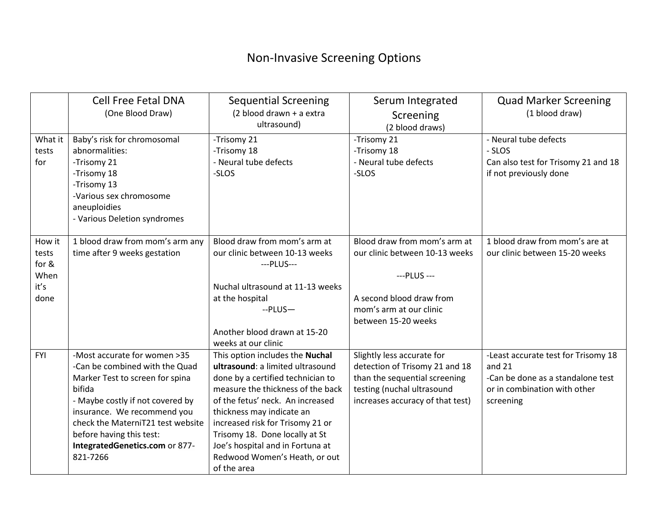## Non-Invasive Screening Options

|            | <b>Cell Free Fetal DNA</b>        | <b>Sequential Screening</b>       | Serum Integrated                 | <b>Quad Marker Screening</b>        |  |
|------------|-----------------------------------|-----------------------------------|----------------------------------|-------------------------------------|--|
|            | (One Blood Draw)                  | (2 blood drawn + a extra          | Screening                        | (1 blood draw)                      |  |
|            |                                   | ultrasound)                       | (2 blood draws)                  |                                     |  |
| What it    | Baby's risk for chromosomal       | -Trisomy 21                       | -Trisomy 21                      | - Neural tube defects               |  |
| tests      | abnormalities:                    | -Trisomy 18                       | -Trisomy 18                      | - SLOS                              |  |
| for        | -Trisomy 21                       | - Neural tube defects             | - Neural tube defects            | Can also test for Trisomy 21 and 18 |  |
|            | -Trisomy 18                       | -SLOS                             | -SLOS                            | if not previously done              |  |
|            | -Trisomy 13                       |                                   |                                  |                                     |  |
|            | -Various sex chromosome           |                                   |                                  |                                     |  |
|            | aneuploidies                      |                                   |                                  |                                     |  |
|            | - Various Deletion syndromes      |                                   |                                  |                                     |  |
|            |                                   |                                   |                                  |                                     |  |
| How it     | 1 blood draw from mom's arm any   | Blood draw from mom's arm at      | Blood draw from mom's arm at     | 1 blood draw from mom's are at      |  |
| tests      | time after 9 weeks gestation      | our clinic between 10-13 weeks    | our clinic between 10-13 weeks   | our clinic between 15-20 weeks      |  |
| for &      |                                   | ---PLUS---                        |                                  |                                     |  |
| When       |                                   |                                   | --- PLUS ---                     |                                     |  |
| it's       |                                   | Nuchal ultrasound at 11-13 weeks  |                                  |                                     |  |
| done       |                                   | at the hospital                   | A second blood draw from         |                                     |  |
|            |                                   | $-PLUS$                           | mom's arm at our clinic          |                                     |  |
|            |                                   |                                   | between 15-20 weeks              |                                     |  |
|            |                                   | Another blood drawn at 15-20      |                                  |                                     |  |
|            |                                   | weeks at our clinic               |                                  |                                     |  |
| <b>FYI</b> | -Most accurate for women >35      | This option includes the Nuchal   | Slightly less accurate for       | -Least accurate test for Trisomy 18 |  |
|            | -Can be combined with the Quad    | ultrasound: a limited ultrasound  | detection of Trisomy 21 and 18   | and $21$                            |  |
|            | Marker Test to screen for spina   | done by a certified technician to | than the sequential screening    | -Can be done as a standalone test   |  |
|            | bifida                            | measure the thickness of the back | testing (nuchal ultrasound       | or in combination with other        |  |
|            | - Maybe costly if not covered by  | of the fetus' neck. An increased  | increases accuracy of that test) | screening                           |  |
|            | insurance. We recommend you       | thickness may indicate an         |                                  |                                     |  |
|            | check the MaterniT21 test website | increased risk for Trisomy 21 or  |                                  |                                     |  |
|            | before having this test:          | Trisomy 18. Done locally at St    |                                  |                                     |  |
|            | IntegratedGenetics.com or 877-    | Joe's hospital and in Fortuna at  |                                  |                                     |  |
|            | 821-7266                          | Redwood Women's Heath, or out     |                                  |                                     |  |
|            |                                   | of the area                       |                                  |                                     |  |